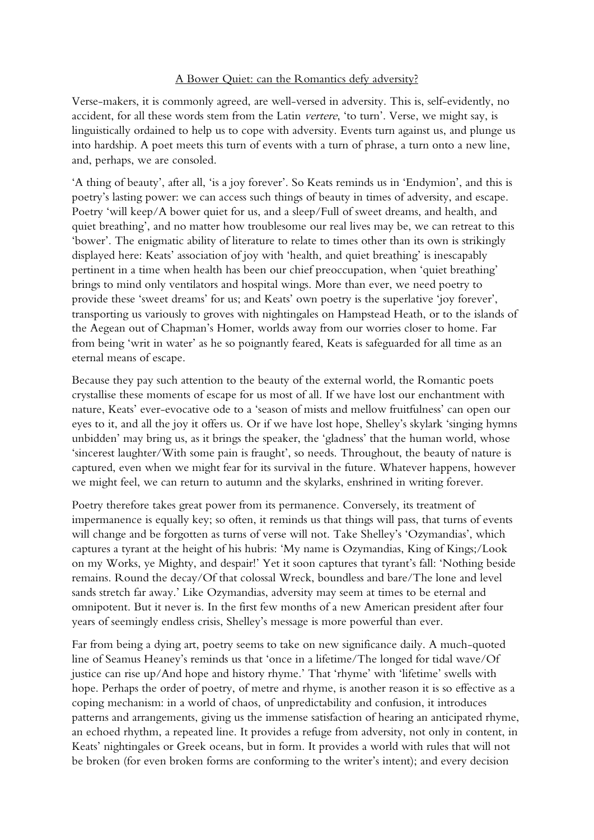## A Bower Quiet: can the Romantics defy adversity?

Verse-makers, it is commonly agreed, are well-versed in adversity. This is, self-evidently, no accident, for all these words stem from the Latin vertere, 'to turn'. Verse, we might say, is linguistically ordained to help us to cope with adversity. Events turn against us, and plunge us into hardship. A poet meets this turn of events with a turn of phrase, a turn onto a new line, and, perhaps, we are consoled.

'A thing of beauty', after all, 'is a joy forever'. So Keats reminds us in 'Endymion', and this is poetry's lasting power: we can access such things of beauty in times of adversity, and escape. Poetry 'will keep/A bower quiet for us, and a sleep/Full of sweet dreams, and health, and quiet breathing', and no matter how troublesome our real lives may be, we can retreat to this 'bower'. The enigmatic ability of literature to relate to times other than its own is strikingly displayed here: Keats' association of joy with 'health, and quiet breathing' is inescapably pertinent in a time when health has been our chief preoccupation, when 'quiet breathing' brings to mind only ventilators and hospital wings. More than ever, we need poetry to provide these 'sweet dreams' for us; and Keats' own poetry is the superlative 'joy forever', transporting us variously to groves with nightingales on Hampstead Heath, or to the islands of the Aegean out of Chapman's Homer, worlds away from our worries closer to home. Far from being 'writ in water' as he so poignantly feared, Keats is safeguarded for all time as an eternal means of escape.

Because they pay such attention to the beauty of the external world, the Romantic poets crystallise these moments of escape for us most of all. If we have lost our enchantment with nature, Keats' ever-evocative ode to a 'season of mists and mellow fruitfulness' can open our eyes to it, and all the joy it offers us. Or if we have lost hope, Shelley's skylark 'singing hymns unbidden' may bring us, as it brings the speaker, the 'gladness' that the human world, whose 'sincerest laughter/With some pain is fraught', so needs. Throughout, the beauty of nature is captured, even when we might fear for its survival in the future. Whatever happens, however we might feel, we can return to autumn and the skylarks, enshrined in writing forever.

Poetry therefore takes great power from its permanence. Conversely, its treatment of impermanence is equally key; so often, it reminds us that things will pass, that turns of events will change and be forgotten as turns of verse will not. Take Shelley's 'Ozymandias', which captures a tyrant at the height of his hubris: 'My name is Ozymandias, King of Kings;/Look on my Works, ye Mighty, and despair!' Yet it soon captures that tyrant's fall: 'Nothing beside remains. Round the decay/Of that colossal Wreck, boundless and bare/The lone and level sands stretch far away.' Like Ozymandias, adversity may seem at times to be eternal and omnipotent. But it never is. In the first few months of a new American president after four years of seemingly endless crisis, Shelley's message is more powerful than ever.

Far from being a dying art, poetry seems to take on new significance daily. A much-quoted line of Seamus Heaney's reminds us that 'once in a lifetime/The longed for tidal wave/Of justice can rise up/And hope and history rhyme.' That 'rhyme' with 'lifetime' swells with hope. Perhaps the order of poetry, of metre and rhyme, is another reason it is so effective as a coping mechanism: in a world of chaos, of unpredictability and confusion, it introduces patterns and arrangements, giving us the immense satisfaction of hearing an anticipated rhyme, an echoed rhythm, a repeated line. It provides a refuge from adversity, not only in content, in Keats' nightingales or Greek oceans, but in form. It provides a world with rules that will not be broken (for even broken forms are conforming to the writer's intent); and every decision